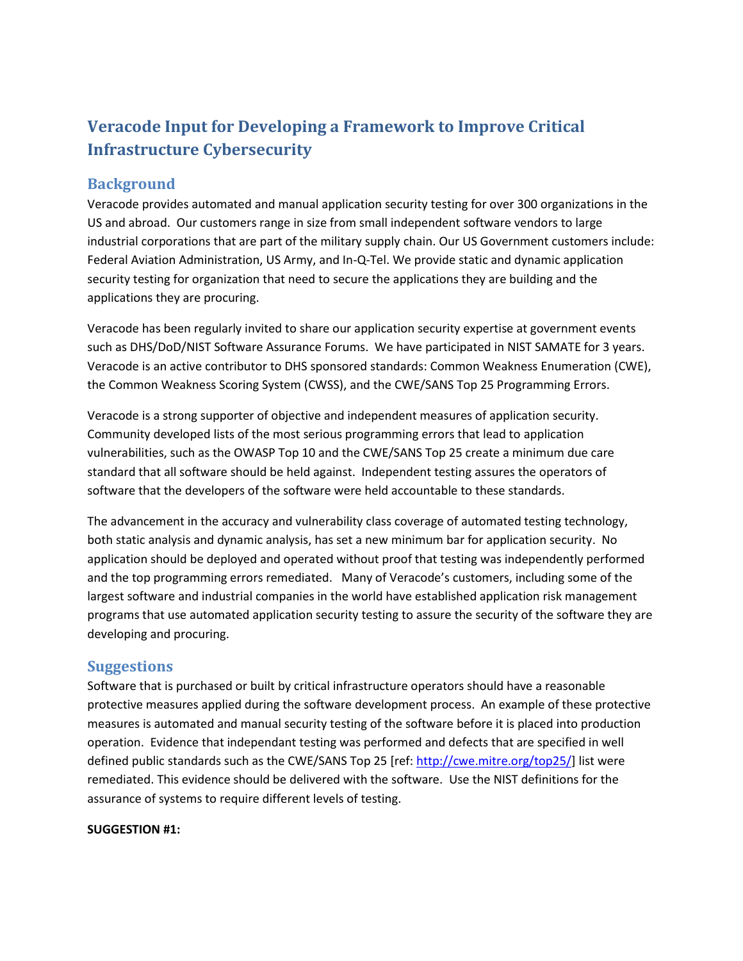# **Veracode Input for Developing a Framework to Improve Critical Infrastructure Cybersecurity**

## **Background**

Veracode provides automated and manual application security testing for over 300 organizations in the US and abroad. Our customers range in size from small independent software vendors to large industrial corporations that are part of the military supply chain. Our US Government customers include: Federal Aviation Administration, US Army, and In-Q-Tel. We provide static and dynamic application security testing for organization that need to secure the applications they are building and the applications they are procuring.

Veracode has been regularly invited to share our application security expertise at government events such as DHS/DoD/NIST Software Assurance Forums. We have participated in NIST SAMATE for 3 years. Veracode is an active contributor to DHS sponsored standards: Common Weakness Enumeration (CWE), the Common Weakness Scoring System (CWSS), and the CWE/SANS Top 25 Programming Errors.

Veracode is a strong supporter of objective and independent measures of application security. Community developed lists of the most serious programming errors that lead to application vulnerabilities, such as the OWASP Top 10 and the CWE/SANS Top 25 create a minimum due care standard that all software should be held against. Independent testing assures the operators of software that the developers of the software were held accountable to these standards.

The advancement in the accuracy and vulnerability class coverage of automated testing technology, both static analysis and dynamic analysis, has set a new minimum bar for application security. No application should be deployed and operated without proof that testing was independently performed and the top programming errors remediated. Many of Veracode's customers, including some of the largest software and industrial companies in the world have established application risk management programs that use automated application security testing to assure the security of the software they are developing and procuring.

## **Suggestions**

Software that is purchased or built by critical infrastructure operators should have a reasonable protective measures applied during the software development process. An example of these protective measures is automated and manual security testing of the software before it is placed into production operation. Evidence that independant testing was performed and defects that are specified in well defined public standards such as the CWE/SANS Top 25 [ref: [http://cwe.mitre.org/top25/\]](http://cwe.mitre.org/top25/) list were remediated. This evidence should be delivered with the software. Use the NIST definitions for the assurance of systems to require different levels of testing.

#### **SUGGESTION #1:**